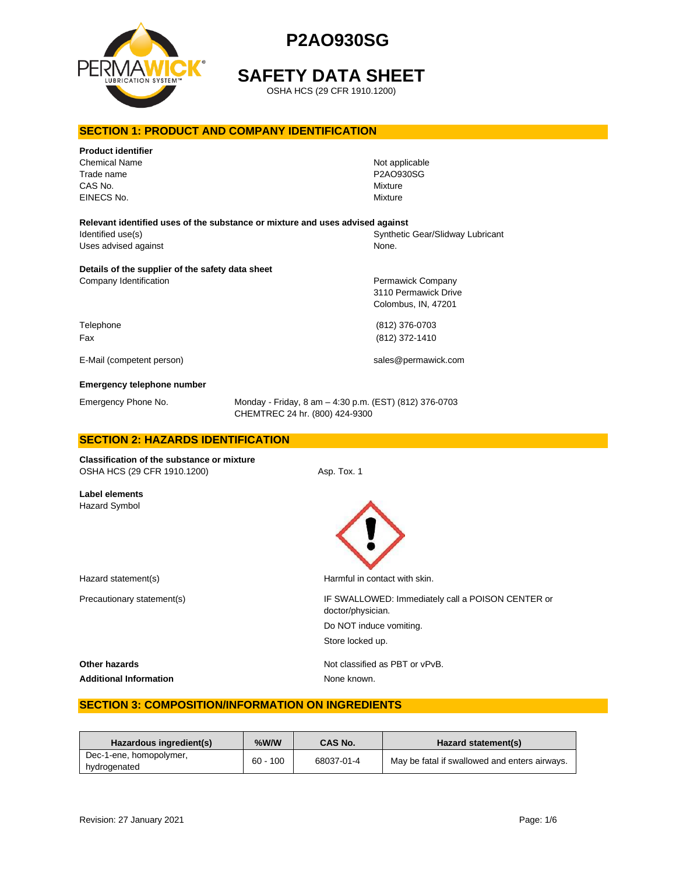

# **SAFETY DATA SHEET**

OSHA HCS (29 CFR 1910.1200)

## **SECTION 1: PRODUCT AND COMPANY IDENTIFICATION**

| <b>Product identifier</b><br><b>Chemical Name</b><br>Trade name<br>CAS No.<br>EINECS No. |                                                                                          | Not applicable<br>P2AO930SG<br><b>Mixture</b><br>Mixture         |
|------------------------------------------------------------------------------------------|------------------------------------------------------------------------------------------|------------------------------------------------------------------|
| Relevant identified uses of the substance or mixture and uses advised against            |                                                                                          |                                                                  |
| Identified use(s)<br>Uses advised against                                                |                                                                                          | Synthetic Gear/Slidway Lubricant<br>None.                        |
| Details of the supplier of the safety data sheet<br>Company Identification               |                                                                                          | Permawick Company<br>3110 Permawick Drive<br>Colombus, IN, 47201 |
| Telephone<br>Fax                                                                         |                                                                                          | (812) 376-0703<br>(812) 372-1410                                 |
| E-Mail (competent person)                                                                |                                                                                          | sales@permawick.com                                              |
| Emergency telephone number                                                               |                                                                                          |                                                                  |
| Emergency Phone No.                                                                      | Monday - Friday, 8 am - 4:30 p.m. (EST) (812) 376-0703<br>CHEMTREC 24 hr. (800) 424-9300 |                                                                  |
| <b>SECTION 2: HAZARDS IDENTIFICATION</b>                                                 |                                                                                          |                                                                  |
| <b>Classification of the substance or mixture</b><br>OSHA HCS (29 CFR 1910.1200)         | Asp. Tox. 1                                                                              |                                                                  |
| Label elements<br>Hazard Symbol                                                          |                                                                                          |                                                                  |

Hazard statement(s) example a method of the Harmful in contact with skin.

Precautionary statement(s)  $\qquad \qquad$  IF SWALLOWED: Immediately call a POISON CENTER or doctor/physician. Do NOT induce vomiting. Store locked up.

**Other hazards Other hazards Not classified as PBT or vPvB.** Additional Information **None known**.

# **SECTION 3: COMPOSITION/INFORMATION ON INGREDIENTS**

| Hazardous ingredient(s)                 | $%$ W/W    | <b>CAS No.</b> | Hazard statement(s)                           |
|-----------------------------------------|------------|----------------|-----------------------------------------------|
| Dec-1-ene, homopolymer,<br>hydrogenated | $60 - 100$ | 68037-01-4     | May be fatal if swallowed and enters airways. |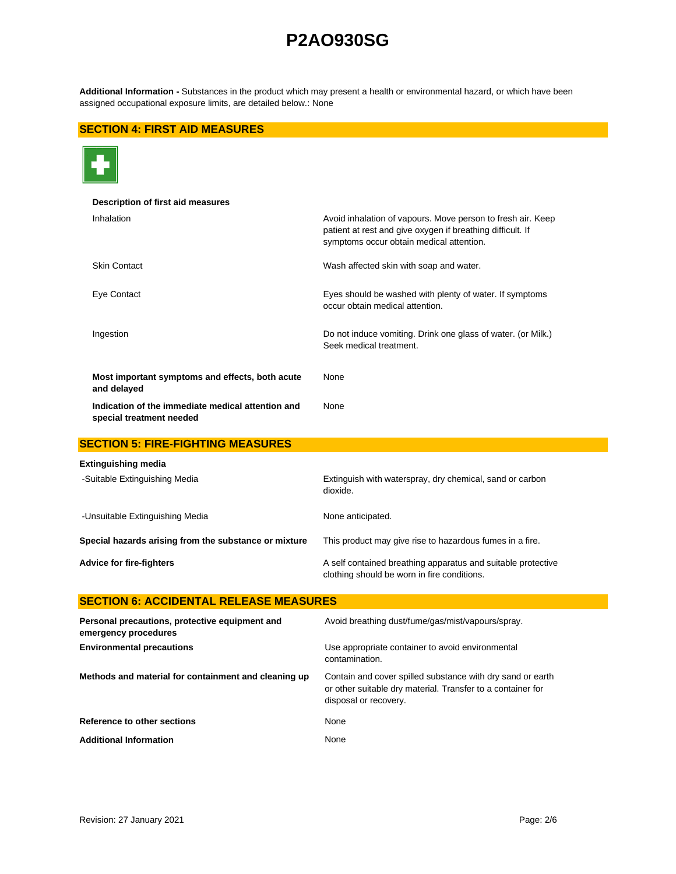**Additional Information -** Substances in the product which may present a health or environmental hazard, or which have been assigned occupational exposure limits, are detailed below.: None

## **SECTION 4: FIRST AID MEASURES**



| Description of first aid measures                                             |                                                                                                                                                                       |
|-------------------------------------------------------------------------------|-----------------------------------------------------------------------------------------------------------------------------------------------------------------------|
| Inhalation                                                                    | Avoid inhalation of vapours. Move person to fresh air. Keep<br>patient at rest and give oxygen if breathing difficult. If<br>symptoms occur obtain medical attention. |
| <b>Skin Contact</b>                                                           | Wash affected skin with soap and water.                                                                                                                               |
| Eye Contact                                                                   | Eyes should be washed with plenty of water. If symptoms<br>occur obtain medical attention.                                                                            |
| Ingestion                                                                     | Do not induce vomiting. Drink one glass of water. (or Milk.)<br>Seek medical treatment.                                                                               |
| Most important symptoms and effects, both acute<br>and delayed                | None                                                                                                                                                                  |
| Indication of the immediate medical attention and<br>special treatment needed | None                                                                                                                                                                  |
| <b>SECTION 5: FIRE-FIGHTING MEASURES</b>                                      |                                                                                                                                                                       |
| Extinguishing media                                                           |                                                                                                                                                                       |
| -Suitable Extinguishing Media                                                 | Extinguish with waterspray, dry chemical, sand or carbon<br>dioxide.                                                                                                  |
| -Unsuitable Extinguishing Media                                               | None anticipated.                                                                                                                                                     |
| Special hazards arising from the substance or mixture                         | This product may give rise to hazardous fumes in a fire.                                                                                                              |
| <b>Advice for fire-fighters</b>                                               | A self contained breathing apparatus and suitable protective<br>clothing should be worn in fire conditions.                                                           |
| <b>SECTION 6: ACCIDENTAL RELEASE MEASURES</b>                                 |                                                                                                                                                                       |
| Personal precautions, protective equipment and<br>emergency procedures        | Avoid breathing dust/fume/gas/mist/vapours/spray.                                                                                                                     |
| <b>Environmental precautions</b>                                              | Use appropriate container to avoid environmental<br>contamination.                                                                                                    |
| Methods and material for containment and cleaning up                          | Contain and cover spilled substance with dry sand or earth<br>or other suitable dry material. Transfer to a container for<br>disposal or recovery.                    |
| Reference to other sections                                                   | None                                                                                                                                                                  |

Additional Information **None** None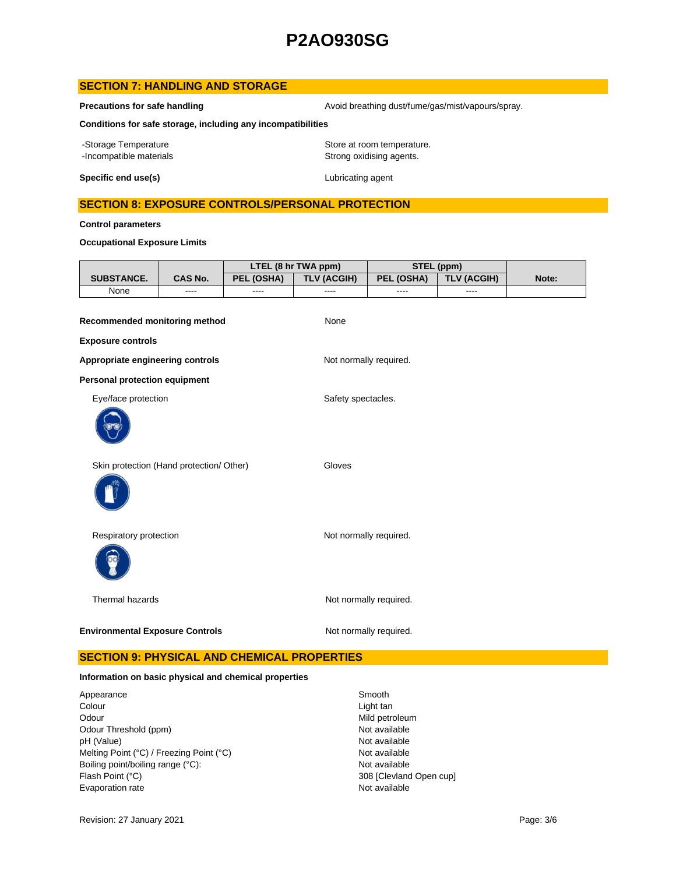## **SECTION 7: HANDLING AND STORAGE**

**Precautions for safe handling Avoid breathing dust/fume/gas/mist/vapours/spray.** Avoid breathing dust/fume/gas/mist/vapours/spray.

**Conditions for safe storage, including any incompatibilities**

-Storage Temperature **Storage Temperature** Store at room temperature. -Incompatible materials **Strong oxidising agents**.

**Specific end use(s)** Lubricating agent

### **SECTION 8: EXPOSURE CONTROLS/PERSONAL PROTECTION**

**Control parameters**

**Occupational Exposure Limits**

|                                          |                |            | LTEL (8 hr TWA ppm)    | STEL (ppm)             |                    |       |
|------------------------------------------|----------------|------------|------------------------|------------------------|--------------------|-------|
| SUBSTANCE.                               | <b>CAS No.</b> | PEL (OSHA) | <b>TLV (ACGIH)</b>     | PEL (OSHA)             | <b>TLV (ACGIH)</b> | Note: |
| None                                     | ----           | ----       | ----                   | ----                   | ----               |       |
| Recommended monitoring method            |                |            | None                   |                        |                    |       |
| <b>Exposure controls</b>                 |                |            |                        |                        |                    |       |
| Appropriate engineering controls         |                |            | Not normally required. |                        |                    |       |
| <b>Personal protection equipment</b>     |                |            |                        |                        |                    |       |
| Eye/face protection                      |                |            | Safety spectacles.     |                        |                    |       |
|                                          |                |            |                        |                        |                    |       |
| Skin protection (Hand protection/ Other) |                |            | Gloves                 |                        |                    |       |
| Respiratory protection                   |                |            | Not normally required. |                        |                    |       |
| Thermal hazards                          |                |            |                        | Not normally required. |                    |       |
| <b>Environmental Exposure Controls</b>   |                |            |                        | Not normally required. |                    |       |

# **SECTION 9: PHYSICAL AND CHEMICAL PROPERTIES**

#### **Information on basic physical and chemical properties**

Appearance Smooth<br>
Colour Colour<br>
Colour Odour Mild petroleum<br>
Odour Threshold (ppm) example and the second of the Mot available<br>
Odour Threshold (ppm) Odour Threshold (ppm) Not available<br>
DH (Value) Not available<br>
Not available pH (Value)<br>
Mot available<br>
Melting Point (°C) / Freezing Point (°C) <br>
Mot available Melting Point (°C) / Freezing Point (°C) Boiling point/boiling range (°C): Not available Flash Point (°C) 308 [Clevland Open cup] Evaporation rate **Not available** 

Light tan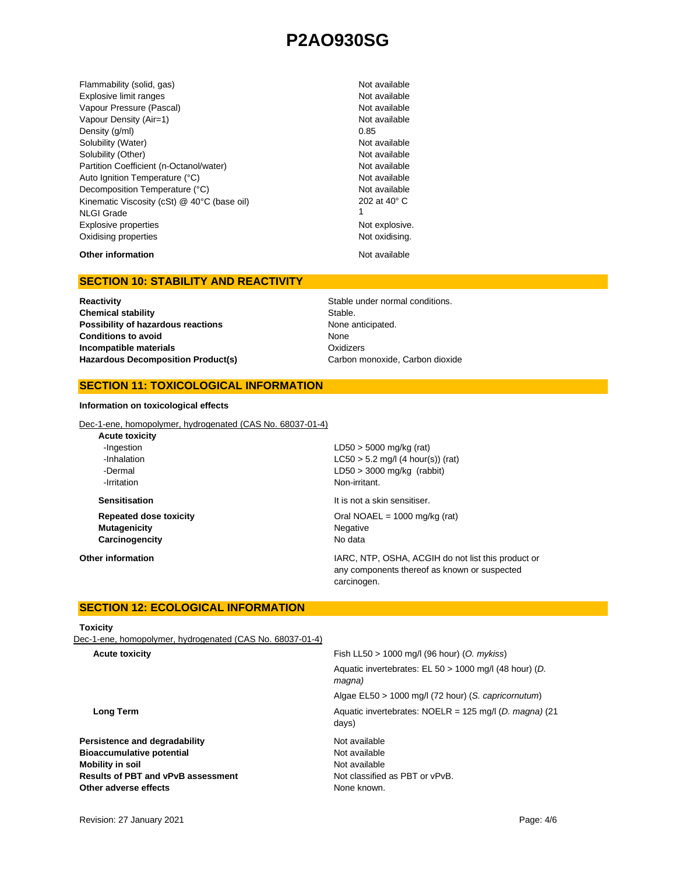Flammability (solid, gas) Not available Shammability (solid, gas) Explosive limit ranges **Not available** Not available Vapour Pressure (Pascal) Not available Not available Vapour Density (Air=1) Not available Density  $(g/m)$  0.85 Solubility (Water) Not available Solubility (Other) Not available Partition Coefficient (n-Octanol/water) Not available Auto Ignition Temperature (°C) Not available Decomposition Temperature (°C) Not available Kinematic Viscosity (cSt) @ 40°C (base oil) NLGI Grade Explosive properties **Not explosive.** Not explosive. Oxidising properties Not oxidising.

202 at 40° C 1

**Other information** Not available

## **SECTION 10: STABILITY AND REACTIVITY**

**Reactivity Reactivity Reactivity Reactivity Stable under normal conditions. Chemical stability** Stable. **Possibility of hazardous reactions None anticipated. Conditions to avoid Incompatible materials** Hazardous Decomposition Product(s) Carbon monoxide, Carbon dioxide

None **Oxidizers** 

### **SECTION 11: TOXICOLOGICAL INFORMATION**

#### **Information on toxicological effects**

Dec-1-ene, homopolymer, hydrogenated (CAS No. 68037-01-4)

| <b>Acute toxicity</b>         |                                                                                                    |
|-------------------------------|----------------------------------------------------------------------------------------------------|
| -Ingestion                    | $LD50 > 5000$ mg/kg (rat)                                                                          |
| -Inhalation                   | $LC50 > 5.2$ mg/l (4 hour(s)) (rat)                                                                |
| -Dermal                       | $LD50 > 3000$ mg/kg (rabbit)                                                                       |
| -Irritation                   | Non-irritant.                                                                                      |
| <b>Sensitisation</b>          | It is not a skin sensitiser.                                                                       |
| <b>Repeated dose toxicity</b> | Oral NOAEL = $1000$ mg/kg (rat)                                                                    |
| <b>Mutagenicity</b>           | Negative                                                                                           |
| Carcinogencity                | No data                                                                                            |
| Other information             | IARC, NTP, OSHA, ACGIH do not list this product or<br>any components thereof as known or suspected |
|                               | carcinogen.                                                                                        |

## **SECTION 12: ECOLOGICAL INFORMATION**

#### **Toxicity**

Dec-1-ene, homopolymer, hydrogenated (CAS No. 68037-01-4)

| Fish LL50 $> 1000$ mg/l (96 hour) (O. mykiss)                             |
|---------------------------------------------------------------------------|
| Aquatic invertebrates: EL 50 > 1000 mg/l (48 hour) (D.<br>magna)          |
| Algae EL50 > 1000 mg/l (72 hour) (S. capricornutum)                       |
| Aquatic invertebrates: NOELR = $125 \text{ mg/l}$ (D. magna) (21<br>days) |
| Not available                                                             |
| Not available                                                             |
| Not available                                                             |
| Not classified as PBT or vPvB.                                            |
| None known.                                                               |
|                                                                           |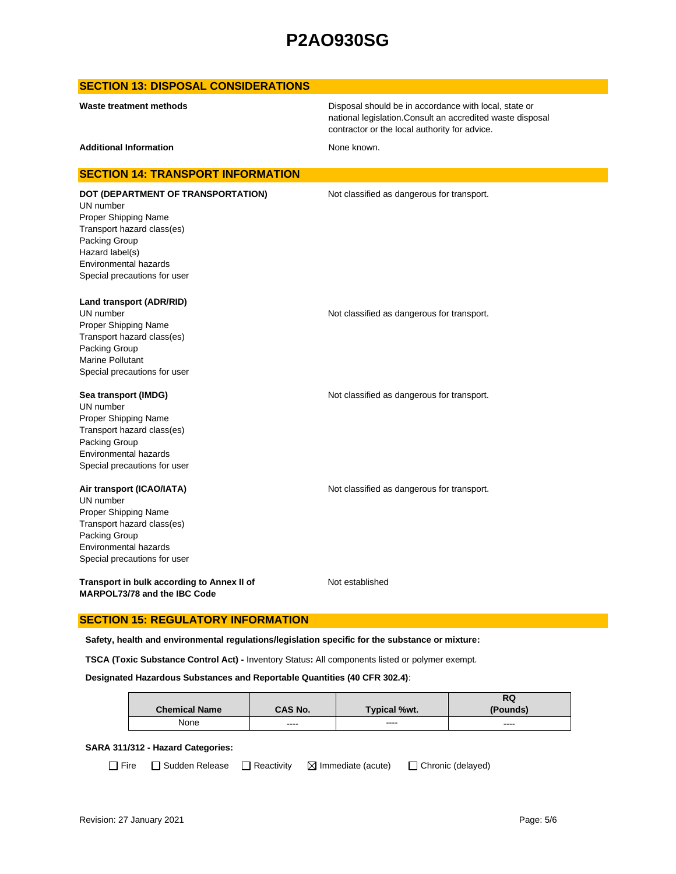### **SECTION 13: DISPOSAL CONSIDERATIONS**

Disposal should be in accordance with local, state or national legislation.Consult an accredited waste disposal contractor or the local authority for advice.

Additional Information **None known.** None known.

#### **SECTION 14: TRANSPORT INFORMATION**

UN number Proper Shipping Name Transport hazard class(es) Packing Group Hazard label(s) Environmental hazards Special precautions for user

**DOT (DEPARTMENT OF TRANSPORTATION)** Not classified as dangerous for transport.

**Land transport (ADR/RID)**

UN number **Not classified as dangerous for transport.** Proper Shipping Name Transport hazard class(es) Packing Group Marine Pollutant Special precautions for user

#### **Sea transport (IMDG) Not classified as dangerous for transport.** Not classified as dangerous for transport.

UN number Proper Shipping Name Transport hazard class(es) Packing Group Environmental hazards Special precautions for user

#### **Air transport (ICAO/IATA)** Not classified as dangerous for transport.

UN number Proper Shipping Name Transport hazard class(es) Packing Group Environmental hazards Special precautions for user

**Transport in bulk according to Annex II of MARPOL73/78 and the IBC Code**

Not established

### **SECTION 15: REGULATORY INFORMATION**

**Safety, health and environmental regulations/legislation specific for the substance or mixture:**

**TSCA (Toxic Substance Control Act) -** Inventory Status**:** All components listed or polymer exempt.

#### **Designated Hazardous Substances and Reportable Quantities (40 CFR 302.4)**:

|                      |         |                     | RQ       |
|----------------------|---------|---------------------|----------|
| <b>Chemical Name</b> | CAS No. | <b>Typical %wt.</b> | (Pounds) |
| None                 | ----    | ----                | $\cdots$ |

#### **SARA 311/312 - Hazard Categories:**

 $\Box$  Fire  $\Box$  Sudden Release  $\Box$  Reactivity  $\Box$  Immediate (acute)  $\Box$  Chronic (delayed)